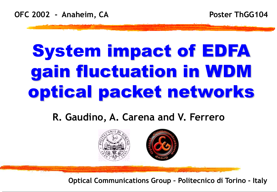# System impact of EDFA gain fluctuation in WDM optical packet networks

### **R. Gaudino, A. Carena and V. Ferrero**



**Optical Communications Group – Politecnico di Torino - Italy**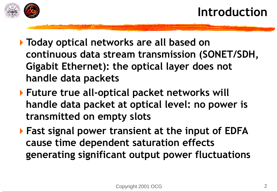

- **Today optical networks are all based on continuous data stream transmission (SONET/SDH, Gigabit Ethernet): the optical layer does not handle data packets**
- **Future true all-optical packet networks will handle data packet at optical level: no power is transmitted on empty slots**
- **Fast signal power transient at the input of EDFA cause time dependent saturation effects generating significant output power fluctuations**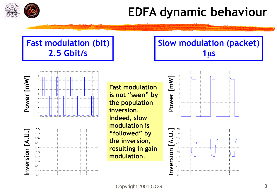

# **EDFA dynamic behaviour**

#### **Fast modulation (bit) 2.5 Gbit/s**





**Fast modulation is not "seen" by the population inversion. Indeed, slow modulation is "followed" by the inversion, resulting in gain modulation.** 

#### **Slow modulation (packet)**  $1<sub>µs</sub>$



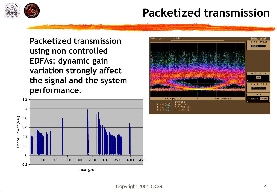

### **Packetized transmission**

**Packetized transmission using non controlled EDFAs: dynamic gain variation strongly affect the signal and the system performance.**



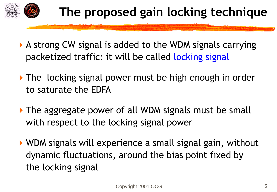

- A strong CW signal is added to the WDM signals carrying packetized traffic: it will be called locking signal
- The locking signal power must be high enough in order to saturate the EDFA
- The aggregate power of all WDM signals must be small with respect to the locking signal power
- WDM signals will experience a small signal gain, without dynamic fluctuations, around the bias point fixed by the locking signal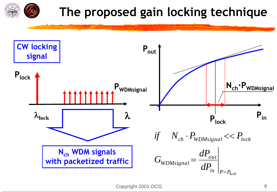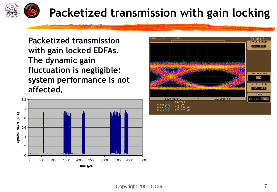

## **Packetized transmission with gain locking**

**Packetized transmission with gain locked EDFAs. The dynamic gain fluctuation is negligible: system performance is not affected.** 



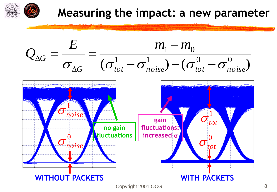

### **Measuring the impact: a new parameter**

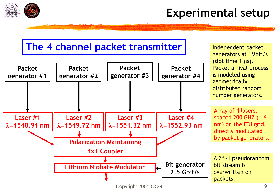

### **Experimental setup**

Independent packet

#### **The 4 channel packet transmitter**

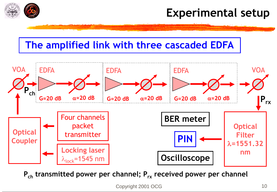

### **Experimental setup**

#### **The amplified link with three cascaded EDFA**



**Pch transmitted power per channel; Prx received power per channel**

Copyright 2001 OCG 10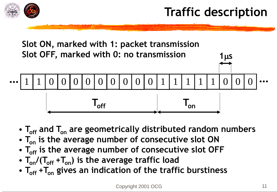



- $T_{\text{off}}$  and  $T_{\text{on}}$  are geometrically distributed random numbers
- $T_{on}$  is the average number of consecutive slot ON
- $T_{\text{off}}$  is the average number of consecutive slot OFF
- $T_{on}/(T_{off} + T_{on})$  is the average traffic load
- $T_{\text{off}}$  +  $T_{\text{on}}$  gives an indication of the traffic burstiness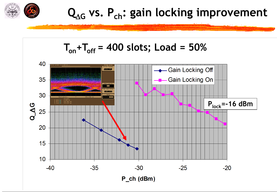

$$
T_{on} + T_{off} = 400 \text{ slots}; \text{Load} = 50\%
$$

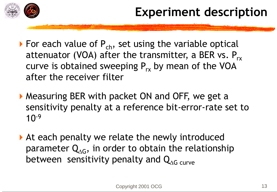![](_page_12_Picture_0.jpeg)

- For each value of  $P_{ch}$ , set using the variable optical attenuator (VOA) after the transmitter, a BER vs.  $P_{rx}$ curve is obtained sweeping  $P_{rx}$  by mean of the VOA after the receiver filter
- Measuring BER with packet ON and OFF, we get a sensitivity penalty at a reference bit-error-rate set to  $10^{-9}$
- At each penalty we relate the newly introduced parameter  $\mathsf{Q}_{\!\Delta \mathsf{G}},$  in order to obtain the relationship between sensitivity penalty and  $Q_{AG\ curve}$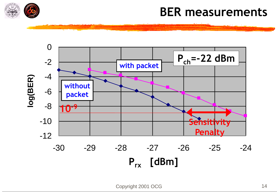![](_page_13_Picture_0.jpeg)

### **BER measurements**

![](_page_13_Figure_2.jpeg)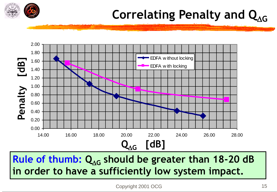![](_page_14_Picture_0.jpeg)

# **Correlating Penalty and Q<sub>AG</sub>**

![](_page_14_Figure_2.jpeg)

Rule of thumb: Q<sub>AG</sub> should be greater than 18-20 dB **in order to have a sufficiently low system impact.**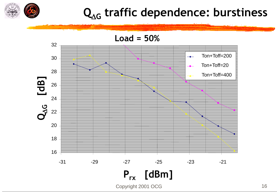![](_page_15_Picture_0.jpeg)

# **Q<sup>G</sup> traffic dependence: burstiness**

![](_page_15_Figure_2.jpeg)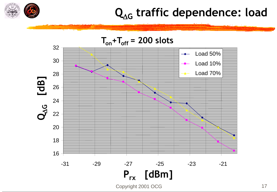![](_page_16_Picture_0.jpeg)

# $Q_{\Delta G}$  traffic dependence: load

![](_page_16_Figure_2.jpeg)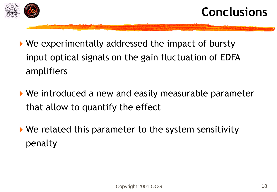![](_page_17_Picture_0.jpeg)

- ▶ We experimentally addressed the impact of bursty input optical signals on the gain fluctuation of EDFA amplifiers
- ▶ We introduced a new and easily measurable parameter that allow to quantify the effect
- ▶ We related this parameter to the system sensitivity penalty